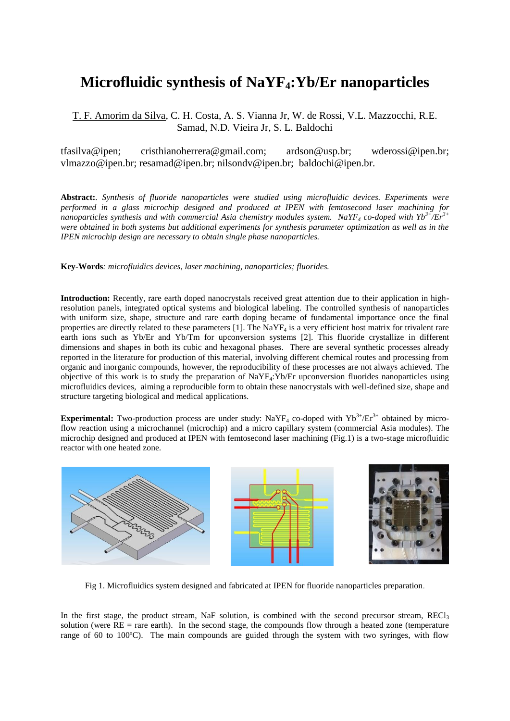## **Microfluidic synthesis of NaYF4:Yb/Er nanoparticles**

## T. F. Amorim da Silva, C. H. Costa, A. S. Vianna Jr, W. de Rossi, V.L. Mazzocchi, R.E. Samad, N.D. Vieira Jr, S. L. Baldochi

tfasilva@ipen; cristhianoherrera@gmail.com; [ardson@usp.br;](mailto:ardson@usp.br) [wderossi@ipen.br;](mailto:wderossi@ipen.br) [vlmazzo@ipen.br;](mailto:vlmazzo@ipen.br) [resamad@ipen.br;](mailto:resamad@ipen.br) [nilsondv@ipen.br;](mailto:nilsondv@ipen.br) [baldochi@ipen.br.](mailto:baldochi@ipen.br)

**Abstract:***. Synthesis of fluoride nanoparticles were studied using microfluidic devices. Experiments were performed in a glass microchip designed and produced at IPEN with femtosecond laser machining for nanoparticles synthesis and with commercial Asia chemistry modules system. NaYF<sup>4</sup> co-doped with Yb3+/Er3+ were obtained in both systems but additional experiments for synthesis parameter optimization as well as in the IPEN microchip design are necessary to obtain single phase nanoparticles.*

**Key-Words***: microfluidics devices, laser machining, nanoparticles; fluorides.*

**Introduction:** Recently, rare earth doped nanocrystals received great attention due to their application in highresolution panels, integrated optical systems and biological labeling. The controlled synthesis of nanoparticles with uniform size, shape, structure and rare earth doping became of fundamental importance once the final properties are directly related to these parameters  $[1]$ . The NaYF<sub>4</sub> is a very efficient host matrix for trivalent rare earth ions such as Yb/Er and Yb/Tm for upconversion systems [2]. This fluoride crystallize in different dimensions and shapes in both its cubic and hexagonal phases. There are several synthetic processes already reported in the literature for production of this material, involving different chemical routes and processing from organic and inorganic compounds, however, the reproducibility of these processes are not always achieved. The objective of this work is to study the preparation of  $NaYF<sub>4</sub>:Yb/Er$  upconversion fluorides nanoparticles using microfluidics devices, aiming a reproducible form to obtain these nanocrystals with well-defined size, shape and structure targeting biological and medical applications.

**Experimental:** Two-production process are under study:  $N_0YF_4$  co-doped with  $Yb^{3+}/Er^{3+}$  obtained by microflow reaction using a microchannel (microchip) and a micro capillary system (commercial Asia modules). The microchip designed and produced at IPEN with femtosecond laser machining (Fig.1) is a two-stage microfluidic reactor with one heated zone.



Fig 1. Microfluidics system designed and fabricated at IPEN for fluoride nanoparticles preparation.

In the first stage, the product stream, NaF solution, is combined with the second precursor stream,  $\text{REC1}_3$ solution (were  $RE =$  rare earth). In the second stage, the compounds flow through a heated zone (temperature range of 60 to 100ºC). The main compounds are guided through the system with two syringes, with flow